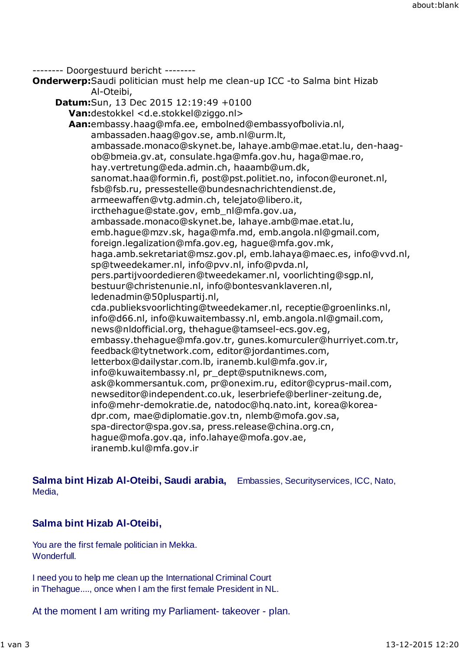-------- Doorgestuurd bericht --------

**Onderwerp:**Saudi politician must help me clean-up ICC -to Salma bint Hizab Al-Oteibi,

**Datum:**Sun, 13 Dec 2015 12:19:49 +0100 **Van:**destokkel <d.e.stokkel@ziggo.nl> **Aan:**embassy.haag@mfa.ee, embolned@embassyofbolivia.nl, ambassaden.haag@gov.se, amb.nl@urm.lt, ambassade.monaco@skynet.be, lahaye.amb@mae.etat.lu, den-haagob@bmeia.gv.at, consulate.hga@mfa.gov.hu, haga@mae.ro, hay.vertretung@eda.admin.ch, haaamb@um.dk, sanomat.haa@formin.fi, post@pst.politiet.no, infocon@euronet.nl, fsb@fsb.ru, pressestelle@bundesnachrichtendienst.de, armeewaffen@vtg.admin.ch, telejato@libero.it, ircthehague@state.gov, emb\_nl@mfa.gov.ua, ambassade.monaco@skynet.be, lahaye.amb@mae.etat.lu, emb.hague@mzv.sk, haga@mfa.md, emb.angola.nl@gmail.com, foreign.legalization@mfa.gov.eg, hague@mfa.gov.mk, haga.amb.sekretariat@msz.gov.pl, emb.lahaya@maec.es, info@vvd.nl, sp@tweedekamer.nl, info@pvv.nl, info@pvda.nl, pers.partijvoordedieren@tweedekamer.nl, voorlichting@sgp.nl, bestuur@christenunie.nl, info@bontesvanklaveren.nl, ledenadmin@50pluspartij.nl, cda.publieksvoorlichting@tweedekamer.nl, receptie@groenlinks.nl, info@d66.nl, info@kuwaitembassy.nl, emb.angola.nl@gmail.com, news@nldofficial.org, thehague@tamseel-ecs.gov.eg, embassy.thehague@mfa.gov.tr, gunes.komurculer@hurriyet.com.tr, feedback@tytnetwork.com, editor@jordantimes.com, letterbox@dailystar.com.lb, iranemb.kul@mfa.gov.ir, info@kuwaitembassy.nl, pr\_dept@sputniknews.com, ask@kommersantuk.com, pr@onexim.ru, editor@cyprus-mail.com, newseditor@independent.co.uk, leserbriefe@berliner-zeitung.de, info@mehr-demokratie.de, natodoc@hq.nato.int, korea@koreadpr.com, mae@diplomatie.gov.tn, nlemb@mofa.gov.sa, spa-director@spa.gov.sa, press.release@china.org.cn, hague@mofa.gov.qa, info.lahaye@mofa.gov.ae, iranemb.kul@mfa.gov.ir

**Salma bint Hizab Al-Oteibi, Saudi arabia,** Embassies, Securityservices, ICC, Nato, Media,

## **Salma bint Hizab Al-Oteibi,**

You are the first female politician in Mekka. Wonderfull.

I need you to help me clean up the International Criminal Court in Thehague...., once when I am the first female President in NL.

At the moment I am writing my Parliament- takeover - plan.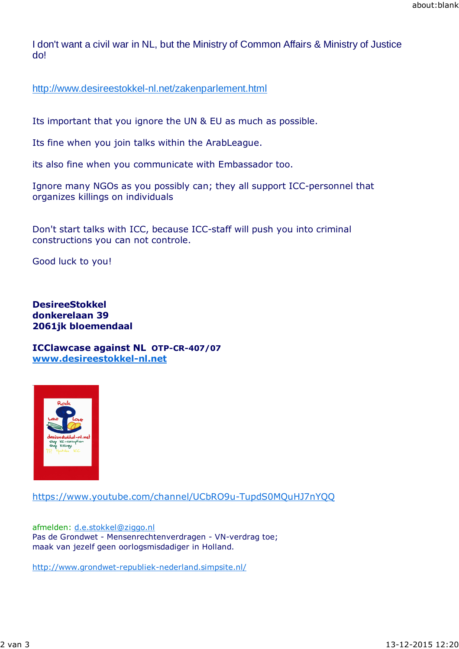I don't want a civil war in NL, but the Ministry of Common Affairs & Ministry of Justice do!

http://www.desireestokkel-nl.net/zakenparlement.html

Its important that you ignore the UN & EU as much as possible.

Its fine when you join talks within the ArabLeague.

its also fine when you communicate with Embassador too.

Ignore many NGOs as you possibly can; they all support ICC-personnel that organizes killings on individuals

Don't start talks with ICC, because ICC-staff will push you into criminal constructions you can not controle.

Good luck to you!

**DesireeStokkel donkerelaan 39 2061jk bloemendaal**

**ICClawcase against NL OTP-CR-407/07 www.desireestokkel-nl.net**



https://www.youtube.com/channel/UCbRO9u-TupdS0MQuHJ7nYQQ

afmelden: d.e.stokkel@ziggo.nl Pas de Grondwet - Mensenrechtenverdragen - VN-verdrag toe; maak van jezelf geen oorlogsmisdadiger in Holland.

http://www.grondwet-republiek-nederland.simpsite.nl/